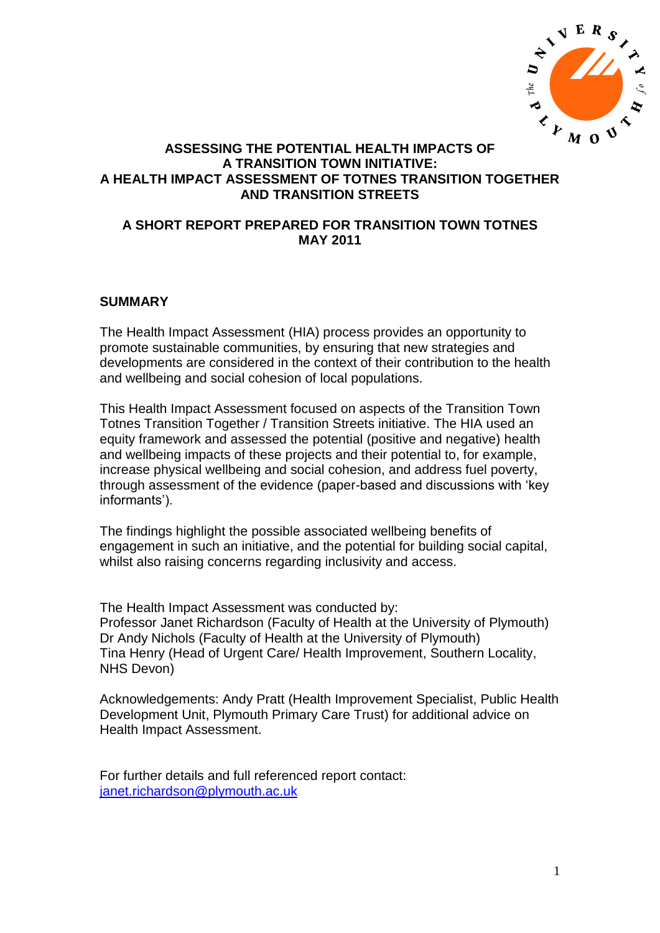

# **ASSESSING THE POTENTIAL HEALTH IMPACTS OF A TRANSITION TOWN INITIATIVE: A HEALTH IMPACT ASSESSMENT OF TOTNES TRANSITION TOGETHER AND TRANSITION STREETS**

# **A SHORT REPORT PREPARED FOR TRANSITION TOWN TOTNES MAY 2011**

## **SUMMARY**

The Health Impact Assessment (HIA) process provides an opportunity to promote sustainable communities, by ensuring that new strategies and developments are considered in the context of their contribution to the health and wellbeing and social cohesion of local populations.

This Health Impact Assessment focused on aspects of the Transition Town Totnes Transition Together / Transition Streets initiative. The HIA used an equity framework and assessed the potential (positive and negative) health and wellbeing impacts of these projects and their potential to, for example, increase physical wellbeing and social cohesion, and address fuel poverty, through assessment of the evidence (paper-based and discussions with "key informants').

The findings highlight the possible associated wellbeing benefits of engagement in such an initiative, and the potential for building social capital, whilst also raising concerns regarding inclusivity and access.

The Health Impact Assessment was conducted by: Professor Janet Richardson (Faculty of Health at the University of Plymouth) Dr Andy Nichols (Faculty of Health at the University of Plymouth) Tina Henry (Head of Urgent Care/ Health Improvement, Southern Locality, NHS Devon)

Acknowledgements: Andy Pratt (Health Improvement Specialist, Public Health Development Unit, Plymouth Primary Care Trust) for additional advice on Health Impact Assessment.

For further details and full referenced report contact: [janet.richardson@plymouth.ac.uk](mailto:janet.richardson@plymouth.ac.uk)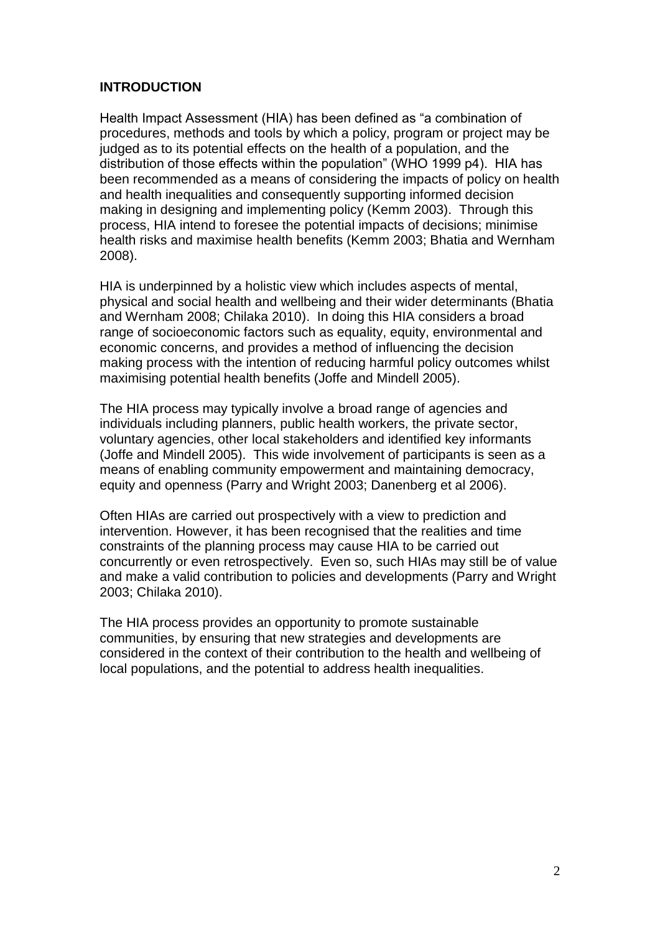# **INTRODUCTION**

Health Impact Assessment (HIA) has been defined as "a combination of procedures, methods and tools by which a policy, program or project may be judged as to its potential effects on the health of a population, and the distribution of those effects within the population" (WHO 1999 p4). HIA has been recommended as a means of considering the impacts of policy on health and health inequalities and consequently supporting informed decision making in designing and implementing policy (Kemm 2003). Through this process, HIA intend to foresee the potential impacts of decisions; minimise health risks and maximise health benefits (Kemm 2003; Bhatia and Wernham 2008).

HIA is underpinned by a holistic view which includes aspects of mental, physical and social health and wellbeing and their wider determinants (Bhatia and Wernham 2008; Chilaka 2010). In doing this HIA considers a broad range of socioeconomic factors such as equality, equity, environmental and economic concerns, and provides a method of influencing the decision making process with the intention of reducing harmful policy outcomes whilst maximising potential health benefits (Joffe and Mindell 2005).

The HIA process may typically involve a broad range of agencies and individuals including planners, public health workers, the private sector, voluntary agencies, other local stakeholders and identified key informants (Joffe and Mindell 2005). This wide involvement of participants is seen as a means of enabling community empowerment and maintaining democracy, equity and openness (Parry and Wright 2003; Danenberg et al 2006).

Often HIAs are carried out prospectively with a view to prediction and intervention. However, it has been recognised that the realities and time constraints of the planning process may cause HIA to be carried out concurrently or even retrospectively. Even so, such HIAs may still be of value and make a valid contribution to policies and developments (Parry and Wright 2003; Chilaka 2010).

The HIA process provides an opportunity to promote sustainable communities, by ensuring that new strategies and developments are considered in the context of their contribution to the health and wellbeing of local populations, and the potential to address health inequalities.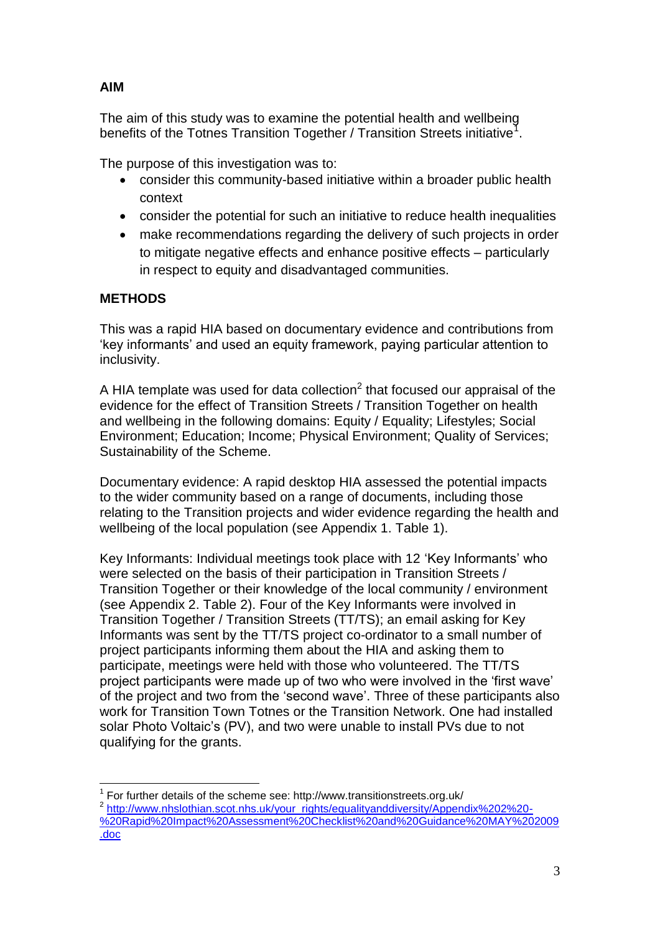# **AIM**

The aim of this study was to examine the potential health and wellbeing benefits of the Totnes Transition Together / Transition Streets initiative<sup>1</sup>.

The purpose of this investigation was to:

- consider this community-based initiative within a broader public health context
- consider the potential for such an initiative to reduce health inequalities
- make recommendations regarding the delivery of such projects in order to mitigate negative effects and enhance positive effects – particularly in respect to equity and disadvantaged communities.

# **METHODS**

<u>.</u>

This was a rapid HIA based on documentary evidence and contributions from "key informants" and used an equity framework, paying particular attention to inclusivity.

A HIA template was used for data collection<sup>2</sup> that focused our appraisal of the evidence for the effect of Transition Streets / Transition Together on health and wellbeing in the following domains: Equity / Equality; Lifestyles; Social Environment; Education; Income; Physical Environment; Quality of Services; Sustainability of the Scheme.

Documentary evidence: A rapid desktop HIA assessed the potential impacts to the wider community based on a range of documents, including those relating to the Transition projects and wider evidence regarding the health and wellbeing of the local population (see Appendix 1. Table 1).

Key Informants: Individual meetings took place with 12 "Key Informants" who were selected on the basis of their participation in Transition Streets / Transition Together or their knowledge of the local community / environment (see Appendix 2. Table 2). Four of the Key Informants were involved in Transition Together / Transition Streets (TT/TS); an email asking for Key Informants was sent by the TT/TS project co-ordinator to a small number of project participants informing them about the HIA and asking them to participate, meetings were held with those who volunteered. The TT/TS project participants were made up of two who were involved in the "first wave" of the project and two from the "second wave". Three of these participants also work for Transition Town Totnes or the Transition Network. One had installed solar Photo Voltaic's (PV), and two were unable to install PVs due to not qualifying for the grants.

 $1$  For further details of the scheme see: http://www.transitionstreets.org.uk/ <sup>2</sup> [http://www.nhslothian.scot.nhs.uk/your\\_rights/equalityanddiversity/Appendix%202%20-](https://webmail.plymouth.ac.uk/OWA/redir.aspx?C=f937cc91944a4f7e9ae6678711c852fa&URL=http%3a%2f%2fwww.nhslothian.scot.nhs.uk%2fyour_rights%2fequalityanddiversity%2fAppendix%25202%2520-%2520Rapid%2520Impact%2520Assessment%2520Checklist%2520and%2520Guidance%2520MAY%25202009.doc) [%20Rapid%20Impact%20Assessment%20Checklist%20and%20Guidance%20MAY%202009](https://webmail.plymouth.ac.uk/OWA/redir.aspx?C=f937cc91944a4f7e9ae6678711c852fa&URL=http%3a%2f%2fwww.nhslothian.scot.nhs.uk%2fyour_rights%2fequalityanddiversity%2fAppendix%25202%2520-%2520Rapid%2520Impact%2520Assessment%2520Checklist%2520and%2520Guidance%2520MAY%25202009.doc) [.doc](https://webmail.plymouth.ac.uk/OWA/redir.aspx?C=f937cc91944a4f7e9ae6678711c852fa&URL=http%3a%2f%2fwww.nhslothian.scot.nhs.uk%2fyour_rights%2fequalityanddiversity%2fAppendix%25202%2520-%2520Rapid%2520Impact%2520Assessment%2520Checklist%2520and%2520Guidance%2520MAY%25202009.doc)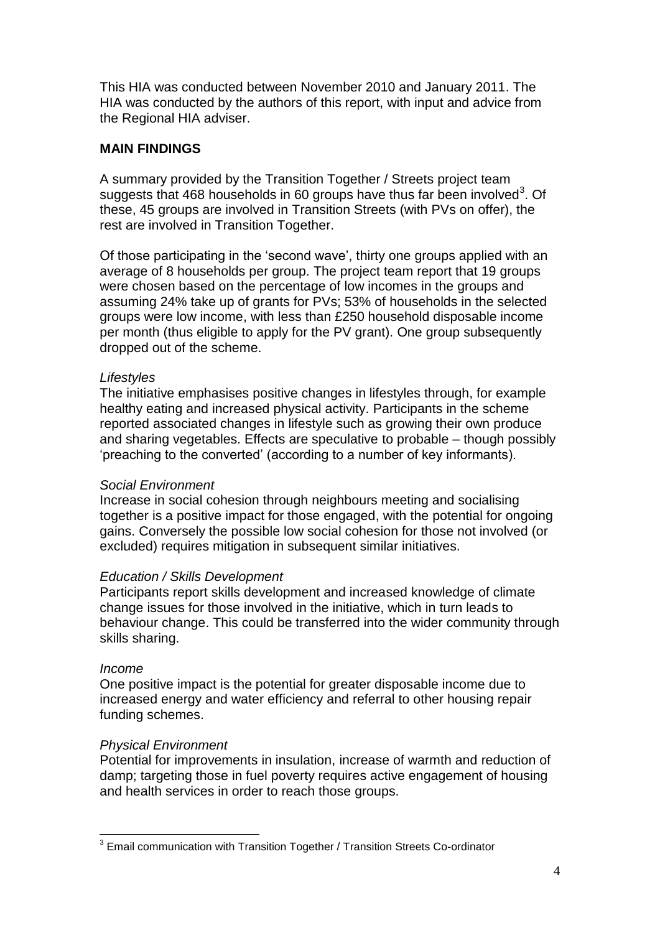This HIA was conducted between November 2010 and January 2011. The HIA was conducted by the authors of this report, with input and advice from the Regional HIA adviser.

# **MAIN FINDINGS**

A summary provided by the Transition Together / Streets project team suggests that 468 households in 60 groups have thus far been involved<sup>3</sup>. Of these, 45 groups are involved in Transition Streets (with PVs on offer), the rest are involved in Transition Together.

Of those participating in the "second wave", thirty one groups applied with an average of 8 households per group. The project team report that 19 groups were chosen based on the percentage of low incomes in the groups and assuming 24% take up of grants for PVs; 53% of households in the selected groups were low income, with less than £250 household disposable income per month (thus eligible to apply for the PV grant). One group subsequently dropped out of the scheme.

## *Lifestyles*

The initiative emphasises positive changes in lifestyles through, for example healthy eating and increased physical activity. Participants in the scheme reported associated changes in lifestyle such as growing their own produce and sharing vegetables. Effects are speculative to probable – though possibly "preaching to the converted" (according to a number of key informants).

## *Social Environment*

Increase in social cohesion through neighbours meeting and socialising together is a positive impact for those engaged, with the potential for ongoing gains. Conversely the possible low social cohesion for those not involved (or excluded) requires mitigation in subsequent similar initiatives.

#### *Education / Skills Development*

Participants report skills development and increased knowledge of climate change issues for those involved in the initiative, which in turn leads to behaviour change. This could be transferred into the wider community through skills sharing.

#### *Income*

One positive impact is the potential for greater disposable income due to increased energy and water efficiency and referral to other housing repair funding schemes.

## *Physical Environment*

Potential for improvements in insulation, increase of warmth and reduction of damp; targeting those in fuel poverty requires active engagement of housing and health services in order to reach those groups.

<sup>1</sup> <sup>3</sup> Email communication with Transition Together / Transition Streets Co-ordinator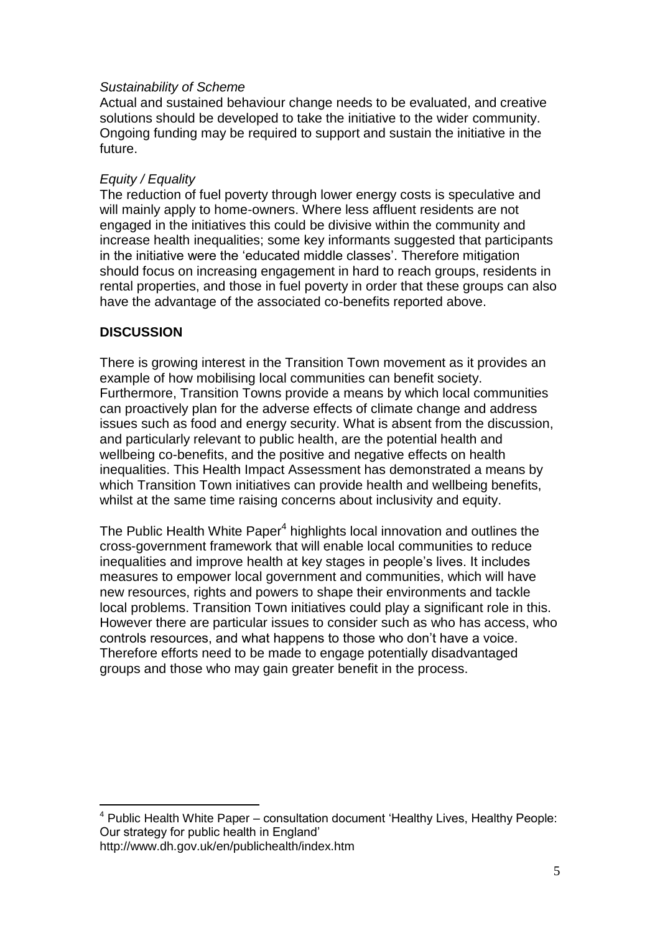## *Sustainability of Scheme*

Actual and sustained behaviour change needs to be evaluated, and creative solutions should be developed to take the initiative to the wider community. Ongoing funding may be required to support and sustain the initiative in the future.

## *Equity / Equality*

The reduction of fuel poverty through lower energy costs is speculative and will mainly apply to home-owners. Where less affluent residents are not engaged in the initiatives this could be divisive within the community and increase health inequalities; some key informants suggested that participants in the initiative were the 'educated middle classes'. Therefore mitigation should focus on increasing engagement in hard to reach groups, residents in rental properties, and those in fuel poverty in order that these groups can also have the advantage of the associated co-benefits reported above.

## **DISCUSSION**

1

There is growing interest in the Transition Town movement as it provides an example of how mobilising local communities can benefit society. Furthermore, Transition Towns provide a means by which local communities can proactively plan for the adverse effects of climate change and address issues such as food and energy security. What is absent from the discussion, and particularly relevant to public health, are the potential health and wellbeing co-benefits, and the positive and negative effects on health inequalities. This Health Impact Assessment has demonstrated a means by which Transition Town initiatives can provide health and wellbeing benefits, whilst at the same time raising concerns about inclusivity and equity.

The Public Health White Paper<sup>4</sup> highlights local innovation and outlines the cross-government framework that will enable local communities to reduce inequalities and improve health at key stages in people"s lives. It includes measures to empower local government and communities, which will have new resources, rights and powers to shape their environments and tackle local problems. Transition Town initiatives could play a significant role in this. However there are particular issues to consider such as who has access, who controls resources, and what happens to those who don"t have a voice. Therefore efforts need to be made to engage potentially disadvantaged groups and those who may gain greater benefit in the process.

<sup>4</sup> Public Health White Paper – consultation document "Healthy Lives, Healthy People: Our strategy for public health in England" http://www.dh.gov.uk/en/publichealth/index.htm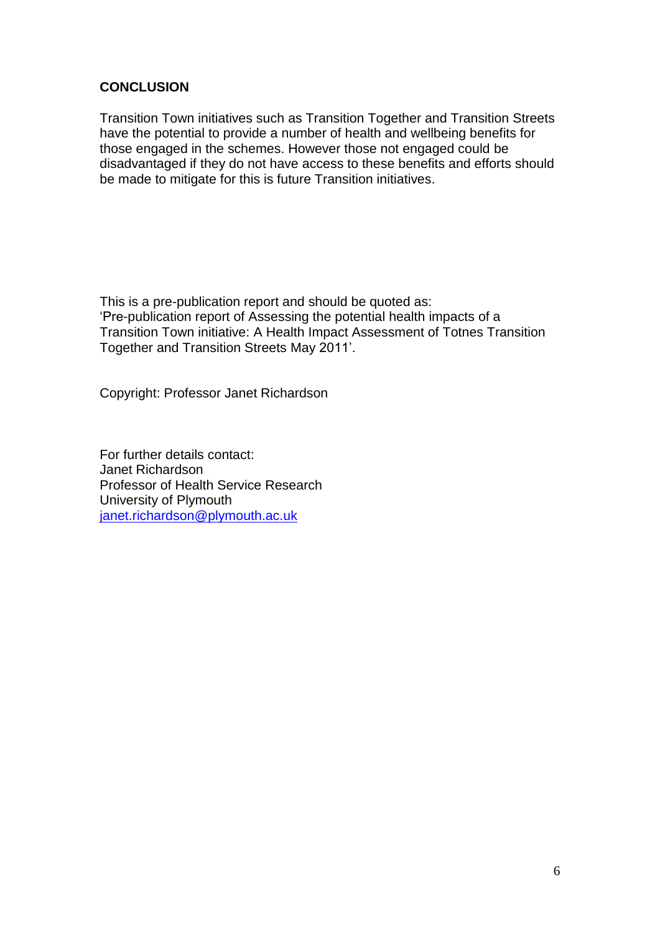# **CONCLUSION**

Transition Town initiatives such as Transition Together and Transition Streets have the potential to provide a number of health and wellbeing benefits for those engaged in the schemes. However those not engaged could be disadvantaged if they do not have access to these benefits and efforts should be made to mitigate for this is future Transition initiatives.

This is a pre-publication report and should be quoted as: "Pre-publication report of Assessing the potential health impacts of a Transition Town initiative: A Health Impact Assessment of Totnes Transition Together and Transition Streets May 2011".

Copyright: Professor Janet Richardson

For further details contact: Janet Richardson Professor of Health Service Research University of Plymouth [janet.richardson@plymouth.ac.uk](mailto:janet.richardson@plymouth.ac.uk)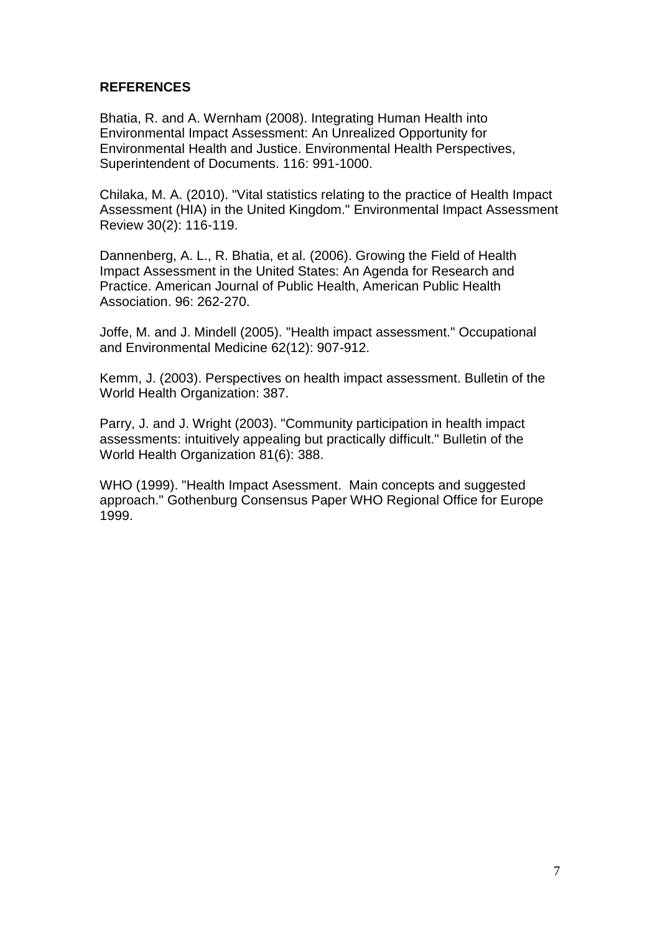# **REFERENCES**

Bhatia, R. and A. Wernham (2008). Integrating Human Health into Environmental Impact Assessment: An Unrealized Opportunity for Environmental Health and Justice. Environmental Health Perspectives, Superintendent of Documents. 116: 991-1000.

Chilaka, M. A. (2010). "Vital statistics relating to the practice of Health Impact Assessment (HIA) in the United Kingdom." Environmental Impact Assessment Review 30(2): 116-119.

Dannenberg, A. L., R. Bhatia, et al. (2006). Growing the Field of Health Impact Assessment in the United States: An Agenda for Research and Practice. American Journal of Public Health, American Public Health Association. 96: 262-270.

Joffe, M. and J. Mindell (2005). "Health impact assessment." Occupational and Environmental Medicine 62(12): 907-912.

Kemm, J. (2003). Perspectives on health impact assessment. Bulletin of the World Health Organization: 387.

Parry, J. and J. Wright (2003). "Community participation in health impact assessments: intuitively appealing but practically difficult." Bulletin of the World Health Organization 81(6): 388.

WHO (1999). "Health Impact Asessment. Main concepts and suggested approach." Gothenburg Consensus Paper WHO Regional Office for Europe 1999.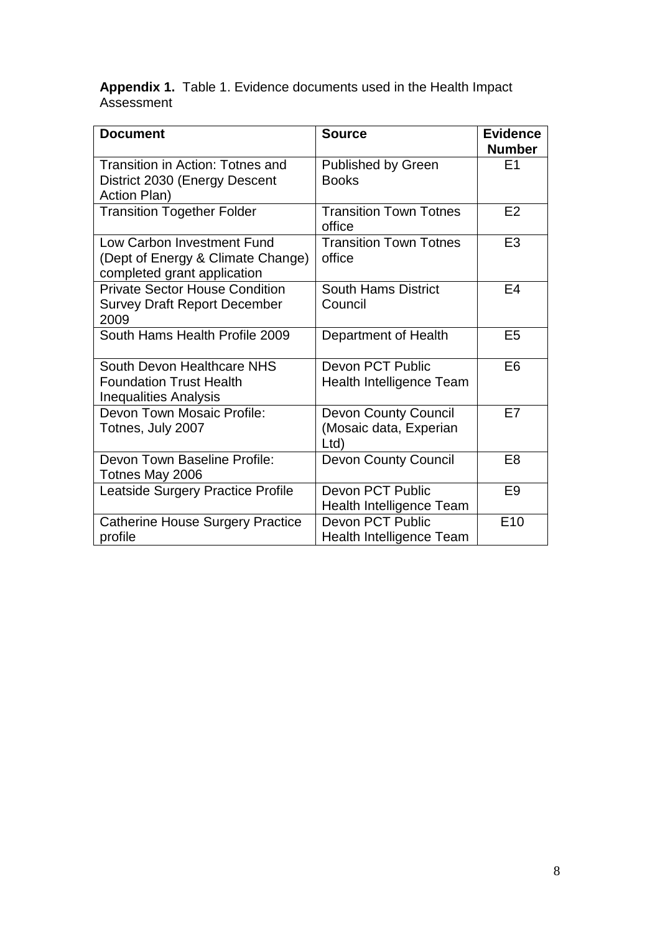**Appendix 1.** Table 1. Evidence documents used in the Health Impact Assessment

| <b>Document</b>                                                                                | <b>Source</b>                                                | <b>Evidence</b><br><b>Number</b> |
|------------------------------------------------------------------------------------------------|--------------------------------------------------------------|----------------------------------|
| Transition in Action: Totnes and<br>District 2030 (Energy Descent<br>Action Plan)              | <b>Published by Green</b><br><b>Books</b>                    | E <sub>1</sub>                   |
| <b>Transition Together Folder</b>                                                              | <b>Transition Town Totnes</b><br>office                      | E2                               |
| Low Carbon Investment Fund<br>(Dept of Energy & Climate Change)<br>completed grant application | <b>Transition Town Totnes</b><br>office                      | E <sub>3</sub>                   |
| <b>Private Sector House Condition</b><br><b>Survey Draft Report December</b><br>2009           | <b>South Hams District</b><br>Council                        | E4                               |
| South Hams Health Profile 2009                                                                 | Department of Health                                         | E <sub>5</sub>                   |
| South Devon Healthcare NHS<br><b>Foundation Trust Health</b><br><b>Inequalities Analysis</b>   | Devon PCT Public<br><b>Health Intelligence Team</b>          | E <sub>6</sub>                   |
| Devon Town Mosaic Profile:<br>Totnes, July 2007                                                | <b>Devon County Council</b><br>(Mosaic data, Experian<br>Ltd | E7                               |
| Devon Town Baseline Profile:<br>Totnes May 2006                                                | <b>Devon County Council</b>                                  | E <sub>8</sub>                   |
| Leatside Surgery Practice Profile                                                              | Devon PCT Public<br><b>Health Intelligence Team</b>          | E <sub>9</sub>                   |
| <b>Catherine House Surgery Practice</b><br>profile                                             | <b>Devon PCT Public</b><br><b>Health Intelligence Team</b>   | E <sub>10</sub>                  |